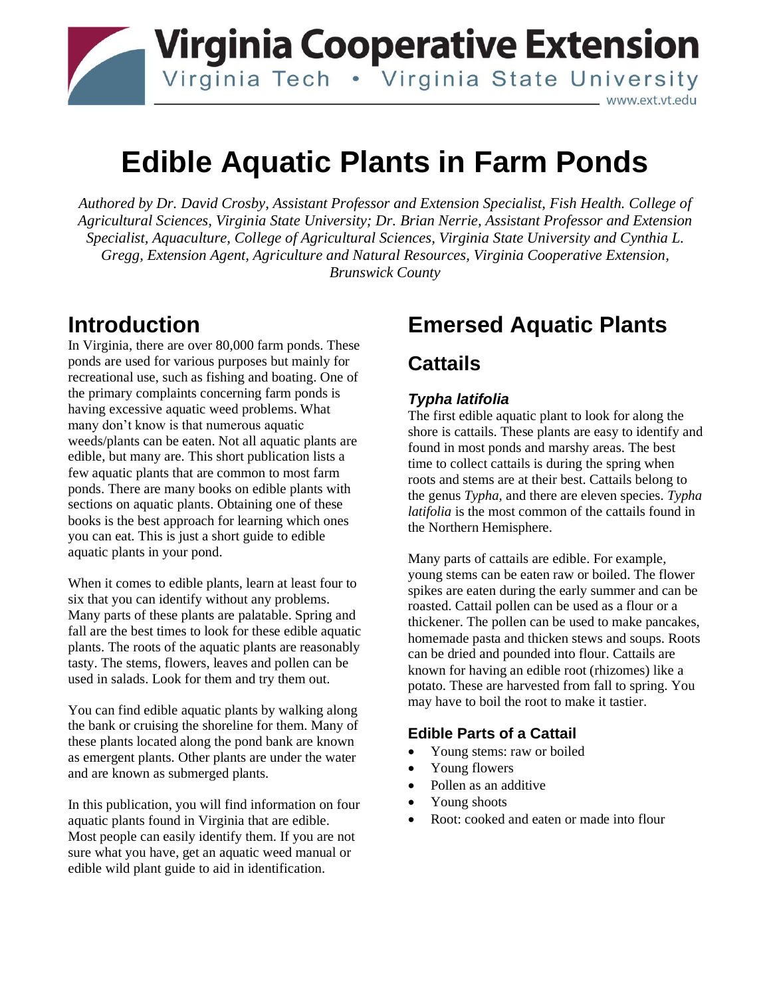

# **Edible Aquatic Plants in Farm Ponds**

*Authored by Dr. David Crosby, Assistant Professor and Extension Specialist, Fish Health. College of Agricultural Sciences, Virginia State University; Dr. Brian Nerrie, Assistant Professor and Extension Specialist, Aquaculture, College of Agricultural Sciences, Virginia State University and Cynthia L. Gregg, Extension Agent, Agriculture and Natural Resources, Virginia Cooperative Extension, Brunswick County*

### **Introduction**

In Virginia, there are over 80,000 farm ponds. These ponds are used for various purposes but mainly for recreational use, such as fishing and boating. One of the primary complaints concerning farm ponds is having excessive aquatic weed problems. What many don't know is that numerous aquatic weeds/plants can be eaten. Not all aquatic plants are edible, but many are. This short publication lists a few aquatic plants that are common to most farm ponds. There are many books on edible plants with sections on aquatic plants. Obtaining one of these books is the best approach for learning which ones you can eat. This is just a short guide to edible aquatic plants in your pond.

When it comes to edible plants, learn at least four to six that you can identify without any problems. Many parts of these plants are palatable. Spring and fall are the best times to look for these edible aquatic plants. The roots of the aquatic plants are reasonably tasty. The stems, flowers, leaves and pollen can be used in salads. Look for them and try them out.

You can find edible aquatic plants by walking along the bank or cruising the shoreline for them. Many of these plants located along the pond bank are known as emergent plants. Other plants are under the water and are known as submerged plants.

In this publication, you will find information on four aquatic plants found in Virginia that are edible. Most people can easily identify them. If you are not sure what you have, get an aquatic weed manual or edible wild plant guide to aid in identification.

## **Emersed Aquatic Plants**

### **Cattails**

### *Typha latifolia*

The first edible aquatic plant to look for along the shore is cattails. These plants are easy to identify and found in most ponds and marshy areas. The best time to collect cattails is during the spring when roots and stems are at their best. Cattails belong to the genus *Typha,* and there are eleven species. *Typha latifolia* is the most common of the cattails found in the Northern Hemisphere.

Many parts of cattails are edible. For example, young stems can be eaten raw or boiled. The flower spikes are eaten during the early summer and can be roasted. Cattail pollen can be used as a flour or a thickener. The pollen can be used to make pancakes, homemade pasta and thicken stews and soups. Roots can be dried and pounded into flour. Cattails are known for having an edible root (rhizomes) like a potato. These are harvested from fall to spring. You may have to boil the root to make it tastier.

### **Edible Parts of a Cattail**

- Young stems: raw or boiled
- Young flowers
- Pollen as an additive
- Young shoots
- Root: cooked and eaten or made into flour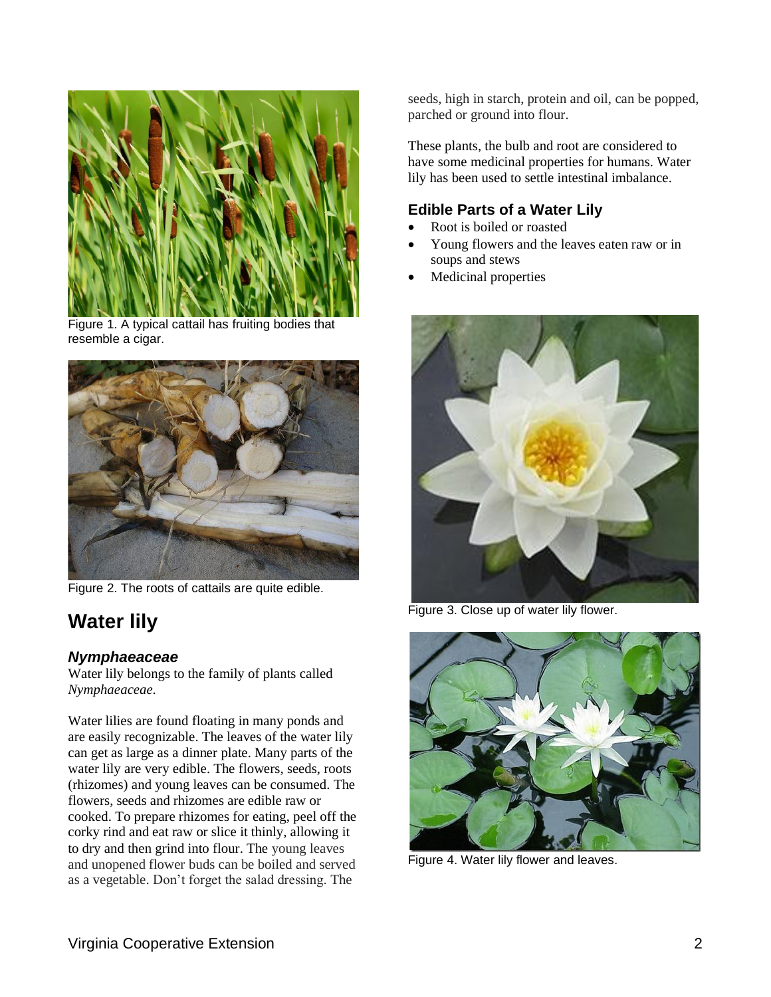

Figure 1. A typical cattail has fruiting bodies that resemble a cigar.



Figure 2. The roots of cattails are quite edible.

## **Water lily**

### *Nymphaeaceae*

Water lily belongs to the family of plants called *Nymphaeaceae.*

Water lilies are found floating in many ponds and are easily recognizable. The leaves of the water lily can get as large as a dinner plate. Many parts of the water lily are very edible. The flowers, seeds, roots (rhizomes) and young leaves can be consumed. The flowers, seeds and rhizomes are edible raw or cooked. To prepare rhizomes for eating, peel off the corky rind and eat raw or slice it thinly, allowing it to dry and then grind into flour. The young leaves and unopened flower buds can be boiled and served as a vegetable. Don't forget the salad dressing. The

seeds, high in starch, protein and oil, can be popped, parched or ground into flour.

These plants, the bulb and root are considered to have some medicinal properties for humans. Water lily has been used to settle intestinal imbalance.

#### **Edible Parts of a Water Lily**

- Root is boiled or roasted
- Young flowers and the leaves eaten raw or in soups and stews
- Medicinal properties



Figure 3. Close up of water lily flower.



Figure 4. Water lily flower and leaves.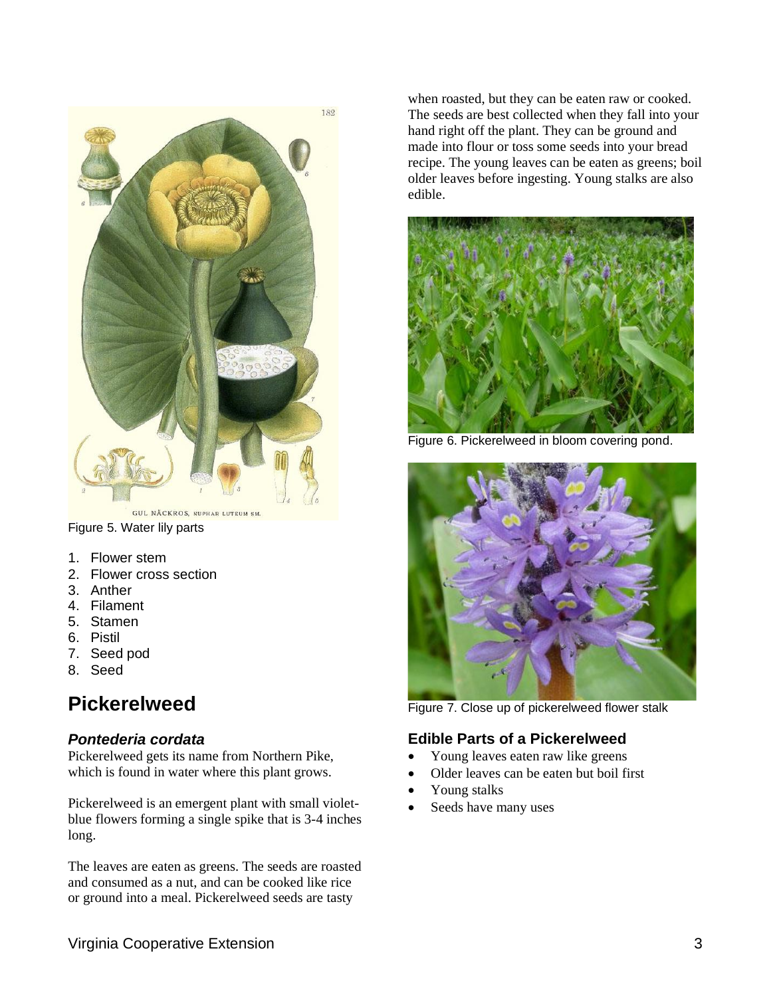

Figure 5. Water lily parts

- 1. Flower stem
- 2. Flower cross section
- 3. Anther
- 4. Filament
- 5. Stamen
- 6. Pistil
- 7. Seed pod
- 8. Seed

### **Pickerelweed**

#### *Pontederia cordata*

Pickerelweed gets its name from Northern Pike, which is found in water where this plant grows.

Pickerelweed is an emergent plant with small violetblue flowers forming a single spike that is 3-4 inches long.

The leaves are eaten as greens. The seeds are roasted and consumed as a nut, and can be cooked like rice or ground into a meal. Pickerelweed seeds are tasty

when roasted, but they can be eaten raw or cooked. The seeds are best collected when they fall into your hand right off the plant. They can be ground and made into flour or toss some seeds into your bread recipe. The young leaves can be eaten as greens; boil older leaves before ingesting. Young stalks are also edible.



Figure 6. Pickerelweed in bloom covering pond.



Figure 7. Close up of pickerelweed flower stalk

#### **Edible Parts of a Pickerelweed**

- Young leaves eaten raw like greens
- Older leaves can be eaten but boil first
- Young stalks
- Seeds have many uses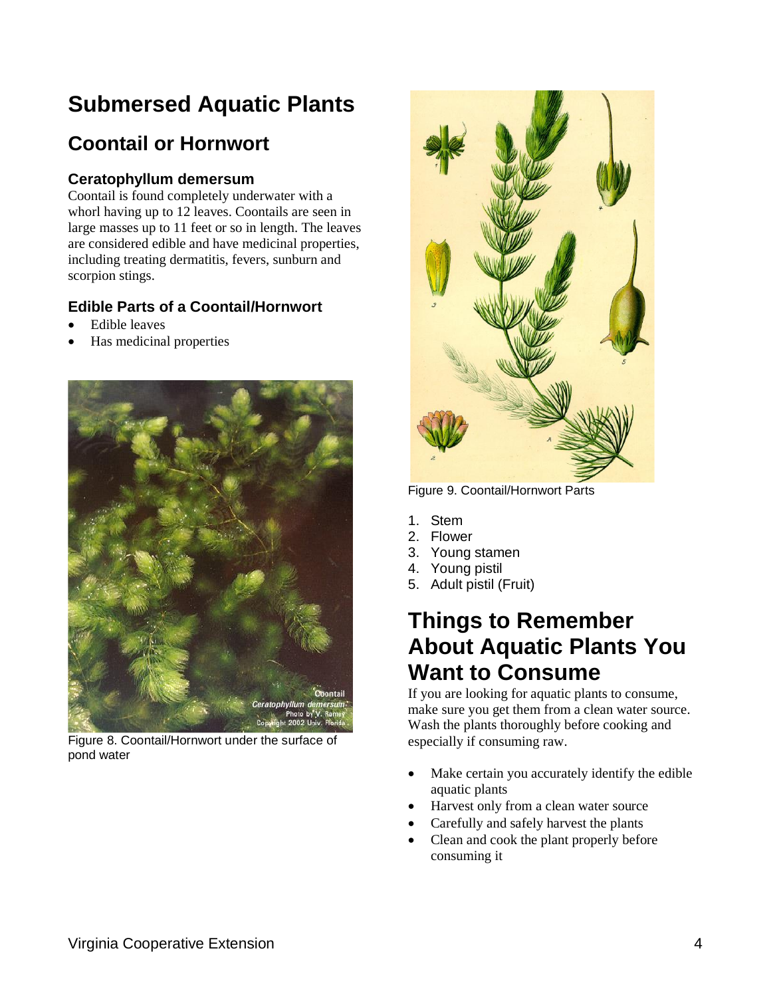## **Submersed Aquatic Plants**

## **Coontail or Hornwort**

#### **Ceratophyllum demersum**

Coontail is found completely underwater with a whorl having up to 12 leaves. Coontails are seen in large masses up to 11 feet or so in length. The leaves are considered edible and have medicinal properties, including treating dermatitis, fevers, sunburn and scorpion stings.

### **Edible Parts of a Coontail/Hornwort**

- Edible leaves
- Has medicinal properties



Figure 8. Coontail/Hornwort under the surface of pond water



Figure 9. Coontail/Hornwort Parts

- 1. Stem
- 2. Flower
- 3. Young stamen
- 4. Young pistil
- 5. Adult pistil (Fruit)

### **Things to Remember About Aquatic Plants You Want to Consume**

If you are looking for aquatic plants to consume, make sure you get them from a clean water source. Wash the plants thoroughly before cooking and especially if consuming raw.

- Make certain you accurately identify the edible aquatic plants
- Harvest only from a clean water source
- Carefully and safely harvest the plants
- Clean and cook the plant properly before consuming it